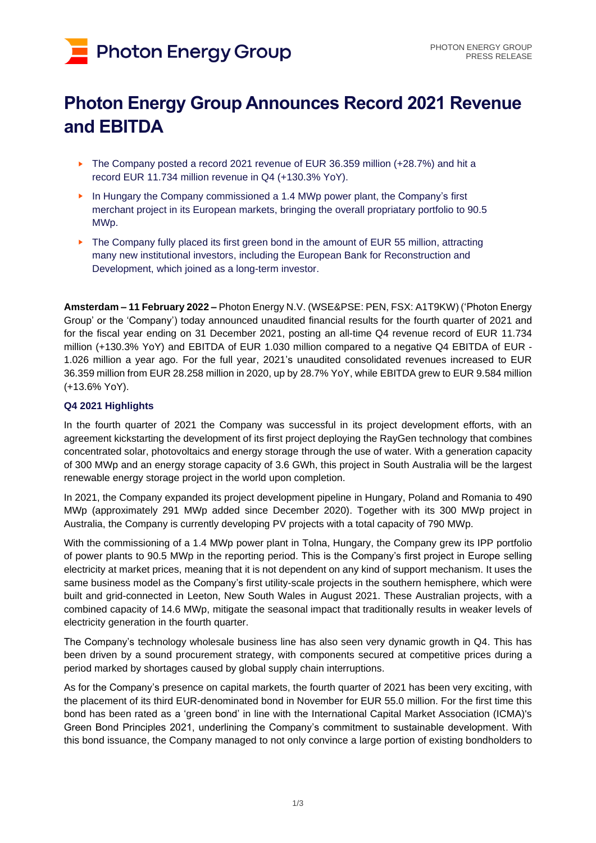# **Photon Energy Group**

# **Photon Energy Group Announces Record 2021 Revenue and EBITDA**

- ► The Company posted a record 2021 revenue of EUR 36.359 million (+28.7%) and hit a record EUR 11.734 million revenue in Q4 (+130.3% YoY).
- ► In Hungary the Company commissioned a 1.4 MWp power plant, the Company's first merchant project in its European markets, bringing the overall propriatary portfolio to 90.5 MWp.
- ► The Company fully placed its first green bond in the amount of EUR 55 million, attracting many new institutional investors, including the European Bank for Reconstruction and Development, which joined as a long-term investor.

**Amsterdam – 11 February 2022 –** Photon Energy N.V. (WSE&PSE: PEN, FSX: A1T9KW) ('Photon Energy Group' or the 'Company') today announced unaudited financial results for the fourth quarter of 2021 and for the fiscal year ending on 31 December 2021, posting an all-time Q4 revenue record of EUR 11.734 million (+130.3% YoY) and EBITDA of EUR 1.030 million compared to a negative Q4 EBITDA of EUR - 1.026 million a year ago. For the full year, 2021's unaudited consolidated revenues increased to EUR 36.359 million from EUR 28.258 million in 2020, up by 28.7% YoY, while EBITDA grew to EUR 9.584 million (+13.6% YoY).

# **Q4 2021 Highlights**

In the fourth quarter of 2021 the Company was successful in its project development efforts, with an agreement kickstarting the development of its first project deploying the RayGen technology that combines concentrated solar, photovoltaics and energy storage through the use of water. With a generation capacity of 300 MWp and an energy storage capacity of 3.6 GWh, this project in South Australia will be the largest renewable energy storage project in the world upon completion.

In 2021, the Company expanded its project development pipeline in Hungary, Poland and Romania to 490 MWp (approximately 291 MWp added since December 2020). Together with its 300 MWp project in Australia, the Company is currently developing PV projects with a total capacity of 790 MWp.

With the commissioning of a 1.4 MWp power plant in Tolna, Hungary, the Company grew its IPP portfolio of power plants to 90.5 MWp in the reporting period. This is the Company's first project in Europe selling electricity at market prices, meaning that it is not dependent on any kind of support mechanism. It uses the same business model as the Company's first utility-scale projects in the southern hemisphere, which were built and grid-connected in Leeton, New South Wales in August 2021. These Australian projects, with a combined capacity of 14.6 MWp, mitigate the seasonal impact that traditionally results in weaker levels of electricity generation in the fourth quarter.

The Company's technology wholesale business line has also seen very dynamic growth in Q4. This has been driven by a sound procurement strategy, with components secured at competitive prices during a period marked by shortages caused by global supply chain interruptions.

As for the Company's presence on capital markets, the fourth quarter of 2021 has been very exciting, with the placement of its third EUR-denominated bond in November for EUR 55.0 million. For the first time this bond has been rated as a 'green bond' in line with the International Capital Market Association (ICMA)'s Green Bond Principles 2021, underlining the Company's commitment to sustainable development. With this bond issuance, the Company managed to not only convince a large portion of existing bondholders to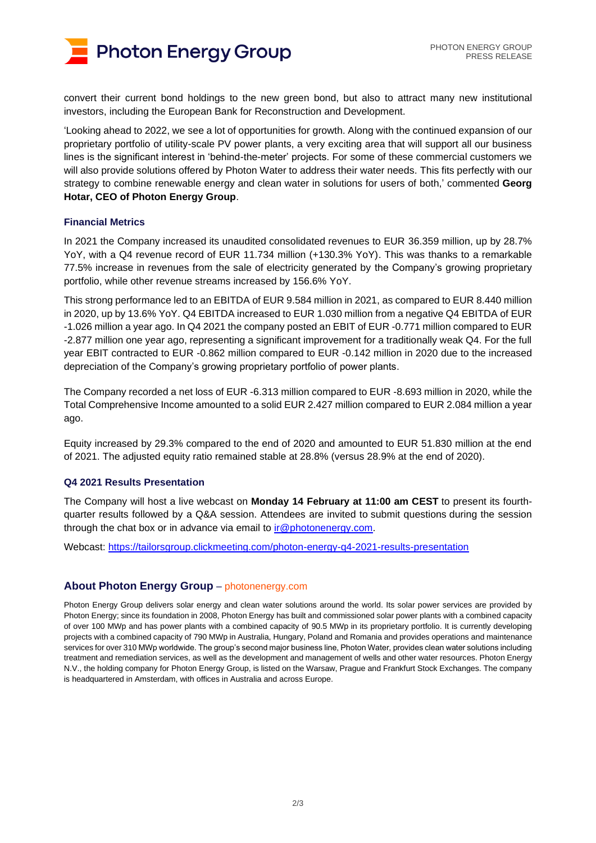

convert their current bond holdings to the new green bond, but also to attract many new institutional investors, including the European Bank for Reconstruction and Development.

'Looking ahead to 2022, we see a lot of opportunities for growth. Along with the continued expansion of our proprietary portfolio of utility-scale PV power plants, a very exciting area that will support all our business lines is the significant interest in 'behind-the-meter' projects. For some of these commercial customers we will also provide solutions offered by Photon Water to address their water needs. This fits perfectly with our strategy to combine renewable energy and clean water in solutions for users of both,' commented **Georg Hotar, CEO of Photon Energy Group**.

## **Financial Metrics**

In 2021 the Company increased its unaudited consolidated revenues to EUR 36.359 million, up by 28.7% YoY, with a Q4 revenue record of EUR 11.734 million (+130.3% YoY). This was thanks to a remarkable 77.5% increase in revenues from the sale of electricity generated by the Company's growing proprietary portfolio, while other revenue streams increased by 156.6% YoY.

This strong performance led to an EBITDA of EUR 9.584 million in 2021, as compared to EUR 8.440 million in 2020, up by 13.6% YoY. Q4 EBITDA increased to EUR 1.030 million from a negative Q4 EBITDA of EUR -1.026 million a year ago. In Q4 2021 the company posted an EBIT of EUR -0.771 million compared to EUR -2.877 million one year ago, representing a significant improvement for a traditionally weak Q4. For the full year EBIT contracted to EUR -0.862 million compared to EUR -0.142 million in 2020 due to the increased depreciation of the Company's growing proprietary portfolio of power plants.

The Company recorded a net loss of EUR -6.313 million compared to EUR -8.693 million in 2020, while the Total Comprehensive Income amounted to a solid EUR 2.427 million compared to EUR 2.084 million a year ago.

Equity increased by 29.3% compared to the end of 2020 and amounted to EUR 51.830 million at the end of 2021. The adjusted equity ratio remained stable at 28.8% (versus 28.9% at the end of 2020).

#### **Q4 2021 Results Presentation**

The Company will host a live webcast on **Monday 14 February at 11:00 am CEST** to present its fourthquarter results followed by a Q&A session. Attendees are invited to submit questions during the session through the chat box or in advance via email to ir $@$  photonenergy.com.

Webcast:<https://tailorsgroup.clickmeeting.com/photon-energy-q4-2021-results-presentation>

## **About Photon Energy Group** – [photonenergy.com](http://www.photonenergy.com/)

Photon Energy Group delivers solar energy and clean water solutions around the world. Its solar power services are provided by Photon Energy; since its foundation in 2008, Photon Energy has built and commissioned solar power plants with a combined capacity of over 100 MWp and has power plants with a combined capacity of 90.5 MWp in its proprietary portfolio. It is currently developing projects with a combined capacity of 790 MWp in Australia, Hungary, Poland and Romania and provides operations and maintenance services for over 310 MWp worldwide. The group's second major business line, Photon Water, provides clean water solutions including treatment and remediation services, as well as the development and management of wells and other water resources. Photon Energy N.V., the holding company for Photon Energy Group, is listed on the Warsaw, Prague and Frankfurt Stock Exchanges. The company is headquartered in Amsterdam, with offices in Australia and across Europe.